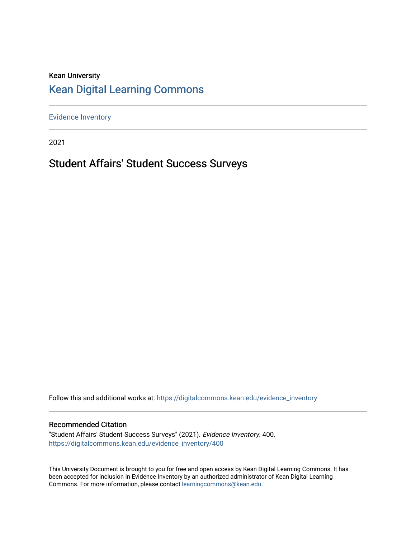## Kean University [Kean Digital Learning Commons](https://digitalcommons.kean.edu/)

[Evidence Inventory](https://digitalcommons.kean.edu/evidence_inventory) 

2021

# Student Affairs' Student Success Surveys

Follow this and additional works at: [https://digitalcommons.kean.edu/evidence\\_inventory](https://digitalcommons.kean.edu/evidence_inventory?utm_source=digitalcommons.kean.edu%2Fevidence_inventory%2F400&utm_medium=PDF&utm_campaign=PDFCoverPages)

#### Recommended Citation

"Student Affairs' Student Success Surveys" (2021). Evidence Inventory. 400. [https://digitalcommons.kean.edu/evidence\\_inventory/400](https://digitalcommons.kean.edu/evidence_inventory/400?utm_source=digitalcommons.kean.edu%2Fevidence_inventory%2F400&utm_medium=PDF&utm_campaign=PDFCoverPages)

This University Document is brought to you for free and open access by Kean Digital Learning Commons. It has been accepted for inclusion in Evidence Inventory by an authorized administrator of Kean Digital Learning Commons. For more information, please contact [learningcommons@kean.edu.](mailto:learningcommons@kean.edu)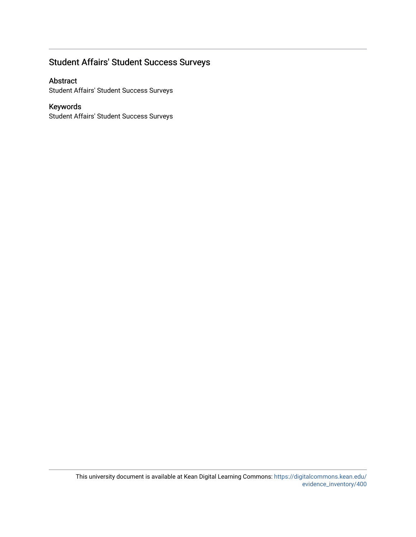### Student Affairs' Student Success Surveys

Abstract

Student Affairs' Student Success Surveys

### Keywords

Student Affairs' Student Success Surveys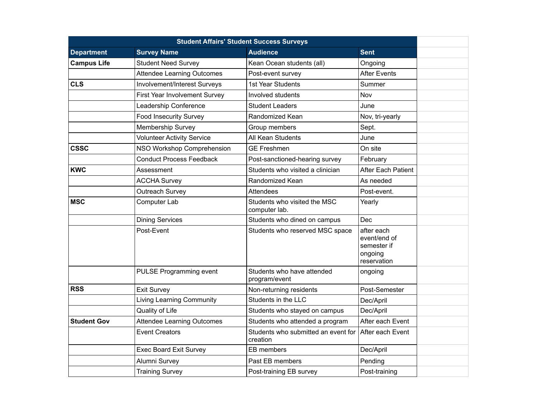| <b>Student Affairs' Student Success Surveys</b> |                                   |                                                 |                                                                     |  |
|-------------------------------------------------|-----------------------------------|-------------------------------------------------|---------------------------------------------------------------------|--|
| <b>Department</b>                               | <b>Survey Name</b>                | <b>Audience</b>                                 | <b>Sent</b>                                                         |  |
| <b>Campus Life</b>                              | <b>Student Need Survey</b>        | Kean Ocean students (all)                       | Ongoing                                                             |  |
|                                                 | <b>Attendee Learning Outcomes</b> | Post-event survey                               | <b>After Events</b>                                                 |  |
| <b>CLS</b>                                      | Involvement/Interest Surveys      | 1st Year Students                               | Summer                                                              |  |
|                                                 | First Year Involvement Survey     | Involved students                               | Nov                                                                 |  |
|                                                 | Leadership Conference             | <b>Student Leaders</b>                          | June                                                                |  |
|                                                 | <b>Food Insecurity Survey</b>     | Randomized Kean                                 | Nov, tri-yearly                                                     |  |
|                                                 | Membership Survey                 | Group members                                   | Sept.                                                               |  |
|                                                 | <b>Volunteer Activity Service</b> | All Kean Students                               | June                                                                |  |
| <b>CSSC</b>                                     | NSO Workshop Comprehension        | <b>GE Freshmen</b>                              | On site                                                             |  |
|                                                 | <b>Conduct Process Feedback</b>   | Post-sanctioned-hearing survey                  | February                                                            |  |
| <b>KWC</b>                                      | Assessment                        | Students who visited a clinician                | <b>After Each Patient</b>                                           |  |
|                                                 | <b>ACCHA Survey</b>               | Randomized Kean                                 | As needed                                                           |  |
|                                                 | Outreach Survey                   | Attendees                                       | Post-event.                                                         |  |
| <b>MSC</b>                                      | Computer Lab                      | Students who visited the MSC<br>computer lab.   | Yearly                                                              |  |
|                                                 | <b>Dining Services</b>            | Students who dined on campus                    | Dec                                                                 |  |
|                                                 | Post-Event                        | Students who reserved MSC space                 | after each<br>event/end of<br>semester if<br>ongoing<br>reservation |  |
|                                                 | <b>PULSE Programming event</b>    | Students who have attended<br>program/event     | ongoing                                                             |  |
| <b>RSS</b>                                      | <b>Exit Survey</b>                | Non-returning residents                         | Post-Semester                                                       |  |
|                                                 | <b>Living Learning Community</b>  | Students in the LLC                             | Dec/April                                                           |  |
|                                                 | Quality of Life                   | Students who stayed on campus                   | Dec/April                                                           |  |
| <b>Student Gov</b>                              | <b>Attendee Learning Outcomes</b> | Students who attended a program                 | After each Event                                                    |  |
|                                                 | <b>Event Creators</b>             | Students who submitted an event for<br>creation | After each Event                                                    |  |
|                                                 | <b>Exec Board Exit Survey</b>     | EB members                                      | Dec/April                                                           |  |
|                                                 | Alumni Survey                     | Past EB members                                 | Pending                                                             |  |
|                                                 | <b>Training Survey</b>            | Post-training EB survey                         | Post-training                                                       |  |